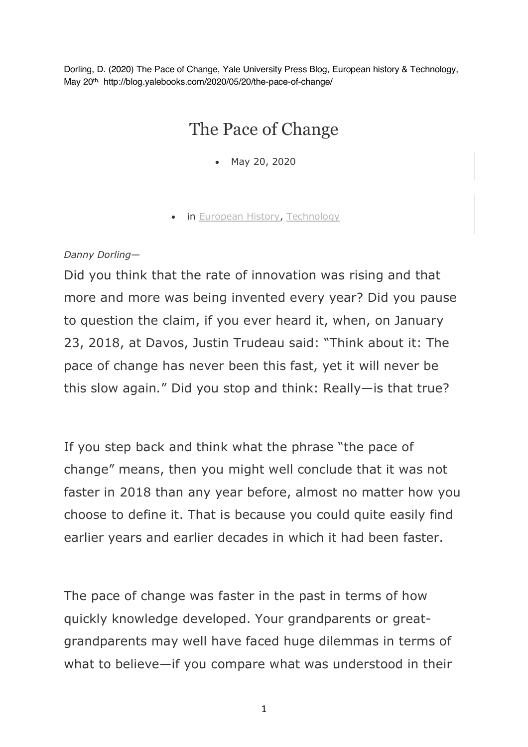Dorling, D. (2020) The Pace of Change, Yale University Press Blog, European history & Technology, May 20th, http://blog.yalebooks.com/2020/05/20/the-pace-of-change/

## The Pace of Change

- May 20, 2020
- in European History, Technology

## *Danny Dorling*—

Did you think that the rate of innovation was rising and that more and more was being invented every year? Did you pause to question the claim, if you ever heard it, when, on January 23, 2018, at Davos, Justin Trudeau said: "Think about it: The pace of change has never been this fast, yet it will never be this slow again*.*" Did you stop and think: Really—is that true?

If you step back and think what the phrase "the pace of change" means, then you might well conclude that it was not faster in 2018 than any year before, almost no matter how you choose to define it. That is because you could quite easily find earlier years and earlier decades in which it had been faster.

The pace of change was faster in the past in terms of how quickly knowledge developed. Your grandparents or greatgrandparents may well have faced huge dilemmas in terms of what to believe—if you compare what was understood in their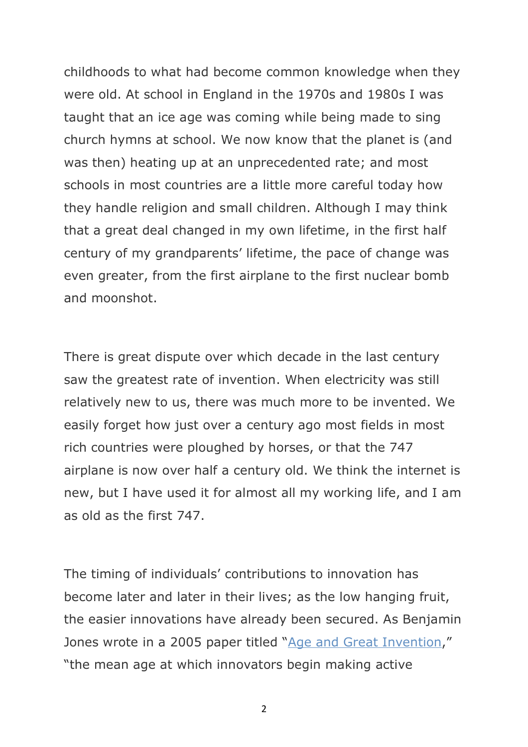childhoods to what had become common knowledge when they were old. At school in England in the 1970s and 1980s I was taught that an ice age was coming while being made to sing church hymns at school. We now know that the planet is (and was then) heating up at an unprecedented rate; and most schools in most countries are a little more careful today how they handle religion and small children. Although I may think that a great deal changed in my own lifetime, in the first half century of my grandparents' lifetime, the pace of change was even greater, from the first airplane to the first nuclear bomb and moonshot.

There is great dispute over which decade in the last century saw the greatest rate of invention. When electricity was still relatively new to us, there was much more to be invented. We easily forget how just over a century ago most fields in most rich countries were ploughed by horses, or that the 747 airplane is now over half a century old. We think the internet is new, but I have used it for almost all my working life, and I am as old as the first 747.

The timing of individuals' contributions to innovation has become later and later in their lives; as the low hanging fruit, the easier innovations have already been secured. As Benjamin Jones wrote in a 2005 paper titled "Age and Great Invention," "the mean age at which innovators begin making active

2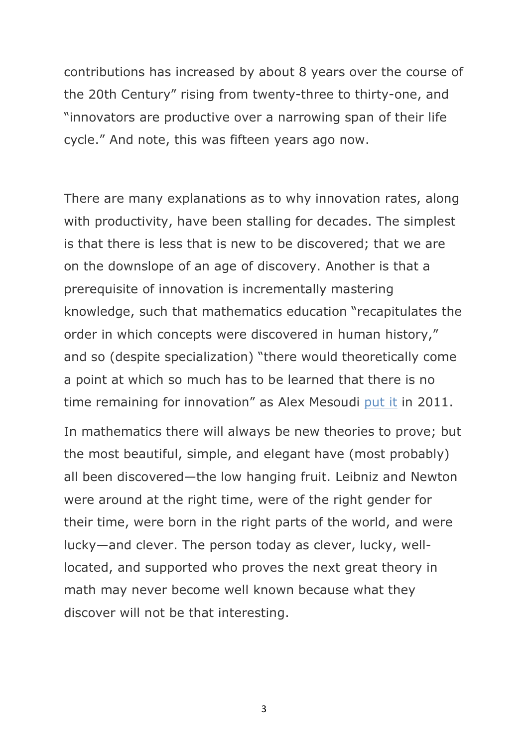contributions has increased by about 8 years over the course of the 20th Century" rising from twenty-three to thirty-one, and "innovators are productive over a narrowing span of their life cycle." And note, this was fifteen years ago now.

There are many explanations as to why innovation rates, along with productivity, have been stalling for decades. The simplest is that there is less that is new to be discovered; that we are on the downslope of an age of discovery. Another is that a prerequisite of innovation is incrementally mastering knowledge, such that mathematics education "recapitulates the order in which concepts were discovered in human history," and so (despite specialization) "there would theoretically come a point at which so much has to be learned that there is no time remaining for innovation" as Alex Mesoudi put it in 2011.

In mathematics there will always be new theories to prove; but the most beautiful, simple, and elegant have (most probably) all been discovered—the low hanging fruit. Leibniz and Newton were around at the right time, were of the right gender for their time, were born in the right parts of the world, and were lucky—and clever. The person today as clever, lucky, welllocated, and supported who proves the next great theory in math may never become well known because what they discover will not be that interesting.

3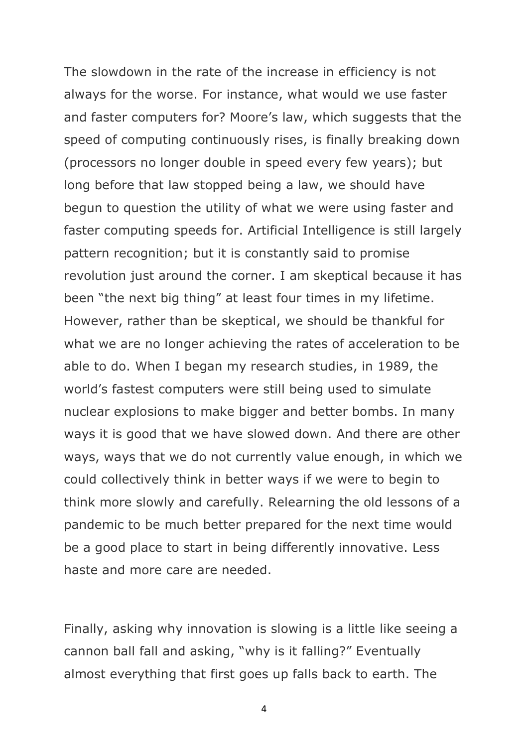The slowdown in the rate of the increase in efficiency is not always for the worse. For instance, what would we use faster and faster computers for? Moore's law, which suggests that the speed of computing continuously rises, is finally breaking down (processors no longer double in speed every few years); but long before that law stopped being a law, we should have begun to question the utility of what we were using faster and faster computing speeds for. Artificial Intelligence is still largely pattern recognition; but it is constantly said to promise revolution just around the corner. I am skeptical because it has been "the next big thing" at least four times in my lifetime. However, rather than be skeptical, we should be thankful for what we are no longer achieving the rates of acceleration to be able to do. When I began my research studies, in 1989, the world's fastest computers were still being used to simulate nuclear explosions to make bigger and better bombs. In many ways it is good that we have slowed down. And there are other ways, ways that we do not currently value enough, in which we could collectively think in better ways if we were to begin to think more slowly and carefully. Relearning the old lessons of a pandemic to be much better prepared for the next time would be a good place to start in being differently innovative. Less haste and more care are needed.

Finally, asking why innovation is slowing is a little like seeing a cannon ball fall and asking, "why is it falling?" Eventually almost everything that first goes up falls back to earth. The

4